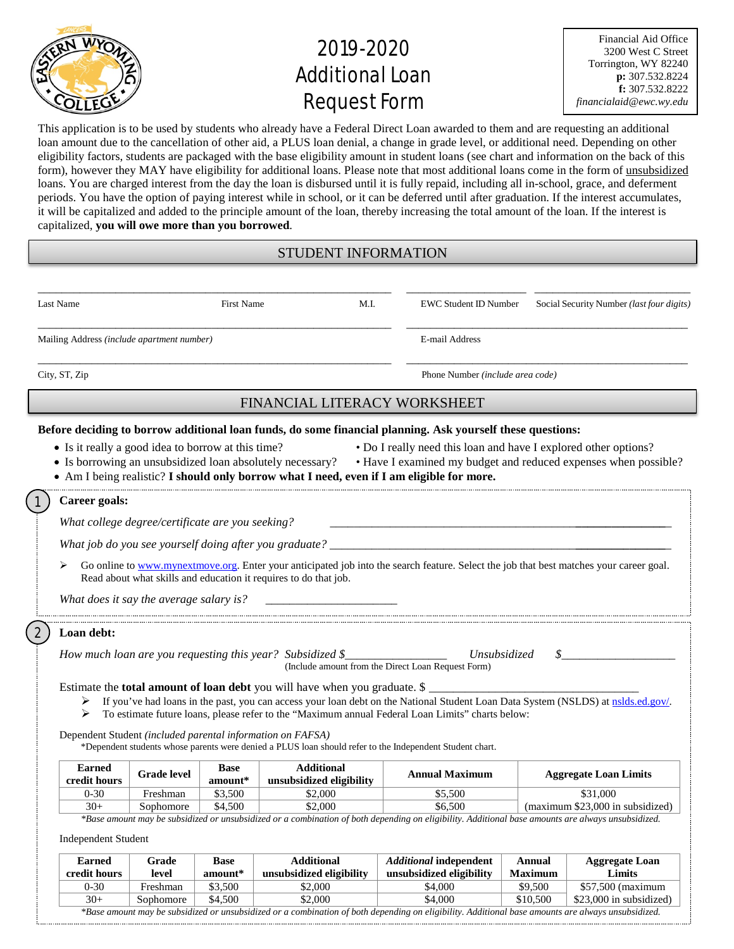

# 2019-2020 **Additional Loan** Request Form

| <b>Financial Aid Office</b> |
|-----------------------------|
| 3200 West C Street          |
| Torrington, WY 82240        |
| p: 307.532.8224             |
| f: 307.532.8222             |
| financialaid@ewc.wy.edu     |

This application is to be used by students who already have a Federal Direct Loan awarded to them and are requesting an additional loan amount due to the cancellation of other aid, a PLUS loan denial, a change in grade level, or additional need. Depending on other eligibility factors, students are packaged with the base eligibility amount in student loans (see chart and information on the back of this form), however they MAY have eligibility for additional loans. Please note that most additional loans come in the form of unsubsidized loans. You are charged interest from the day the loan is disbursed until it is fully repaid, including all in-school, grace, and deferment periods. You have the option of paying interest while in school, or it can be deferred until after graduation. If the interest accumulates, it will be capitalized and added to the principle amount of the loan, thereby increasing the total amount of the loan. If the interest is capitalized, **you will owe more than you borrowed**.

## STUDENT INFORMATION

| Last Name                                          |                                                  | <b>First Name</b>  | M.I.                                                                                                                                                                                                                                                                                                                                                            | <b>EWC Student ID Number</b> | Social Security Number (last four digits)                                                                                               |
|----------------------------------------------------|--------------------------------------------------|--------------------|-----------------------------------------------------------------------------------------------------------------------------------------------------------------------------------------------------------------------------------------------------------------------------------------------------------------------------------------------------------------|------------------------------|-----------------------------------------------------------------------------------------------------------------------------------------|
| Mailing Address (include apartment number)         |                                                  |                    | E-mail Address                                                                                                                                                                                                                                                                                                                                                  |                              |                                                                                                                                         |
| City, ST, Zip                                      |                                                  |                    | Phone Number (include area code)                                                                                                                                                                                                                                                                                                                                |                              |                                                                                                                                         |
|                                                    |                                                  |                    | FINANCIAL LITERACY WORKSHEET                                                                                                                                                                                                                                                                                                                                    |                              |                                                                                                                                         |
| • Is it really a good idea to borrow at this time? |                                                  |                    | Before deciding to borrow additional loan funds, do some financial planning. Ask yourself these questions:<br>• Is borrowing an unsubsidized loan absolutely necessary?<br>• Am I being realistic? I should only borrow what I need, even if I am eligible for more.                                                                                            |                              | • Do I really need this loan and have I explored other options?<br>• Have I examined my budget and reduced expenses when possible?      |
| Career goals:                                      |                                                  |                    |                                                                                                                                                                                                                                                                                                                                                                 |                              |                                                                                                                                         |
|                                                    | What college degree/certificate are you seeking? |                    |                                                                                                                                                                                                                                                                                                                                                                 |                              |                                                                                                                                         |
|                                                    |                                                  |                    |                                                                                                                                                                                                                                                                                                                                                                 |                              |                                                                                                                                         |
|                                                    | What does it say the average salary is?          |                    | Read about what skills and education it requires to do that job.                                                                                                                                                                                                                                                                                                |                              | Go online to www.mynextmove.org. Enter your anticipated job into the search feature. Select the job that best matches your career goal. |
| Loan debt:                                         |                                                  |                    |                                                                                                                                                                                                                                                                                                                                                                 |                              |                                                                                                                                         |
|                                                    |                                                  |                    | How much loan are you requesting this year? Subsidized $\S$<br>(Include amount from the Direct Loan Request Form)                                                                                                                                                                                                                                               | <i>Unsubsidized</i>          | \$                                                                                                                                      |
| ➤<br>➤                                             |                                                  |                    | Estimate the <b>total amount of loan debt</b> you will have when you graduate. \$<br>To estimate future loans, please refer to the "Maximum annual Federal Loan Limits" charts below:<br>Dependent Student (included parental information on FAFSA)<br>*Dependent students whose parents were denied a PLUS loan should refer to the Independent Student chart. |                              | If you've had loans in the past, you can access your loan debt on the National Student Loan Data System (NSLDS) at nslds.ed.gov/.       |
| <b>Earned</b>                                      | <b>Grade level</b>                               | <b>Base</b>        | <b>Additional</b>                                                                                                                                                                                                                                                                                                                                               | <b>Annual Maximum</b>        | <b>Aggregate Loan Limits</b>                                                                                                            |
| credit hours<br>$0 - 30$                           | Freshman                                         | amount*            | unsubsidized eligibility                                                                                                                                                                                                                                                                                                                                        |                              |                                                                                                                                         |
| $30+$                                              | Sophomore                                        | \$3,500<br>\$4,500 | \$2,000<br>\$2,000                                                                                                                                                                                                                                                                                                                                              | \$5,500<br>\$6,500           | \$31,000<br>(maximum \$23,000 in subsidized)                                                                                            |
|                                                    |                                                  |                    |                                                                                                                                                                                                                                                                                                                                                                 |                              |                                                                                                                                         |

| <b>Earned</b>                                                                                                                                      | Grade     | <b>Base</b> | Additional               | <i><b>Additional independent</b></i> | Annual         | <b>Aggregate Loan</b>   |  |  |  |
|----------------------------------------------------------------------------------------------------------------------------------------------------|-----------|-------------|--------------------------|--------------------------------------|----------------|-------------------------|--|--|--|
| credit hours                                                                                                                                       | level     | amount*     | unsubsidized eligibility | unsubsidized eligibility             | <b>Maximum</b> | Limits                  |  |  |  |
| $0 - 30$                                                                                                                                           | Freshman  | \$3,500     | 52.000                   | \$4,000                              | \$9,500        | $$57.500$ (maximum)     |  |  |  |
| $30+$                                                                                                                                              | Sophomore | \$4,500     | \$2.000                  | \$4.000                              | \$10,500       | \$23,000 in subsidized) |  |  |  |
| *Base amount may be subsidized or unsubsidized or a combination of both depending on eligibility. Additional base amounts are always unsubsidized. |           |             |                          |                                      |                |                         |  |  |  |